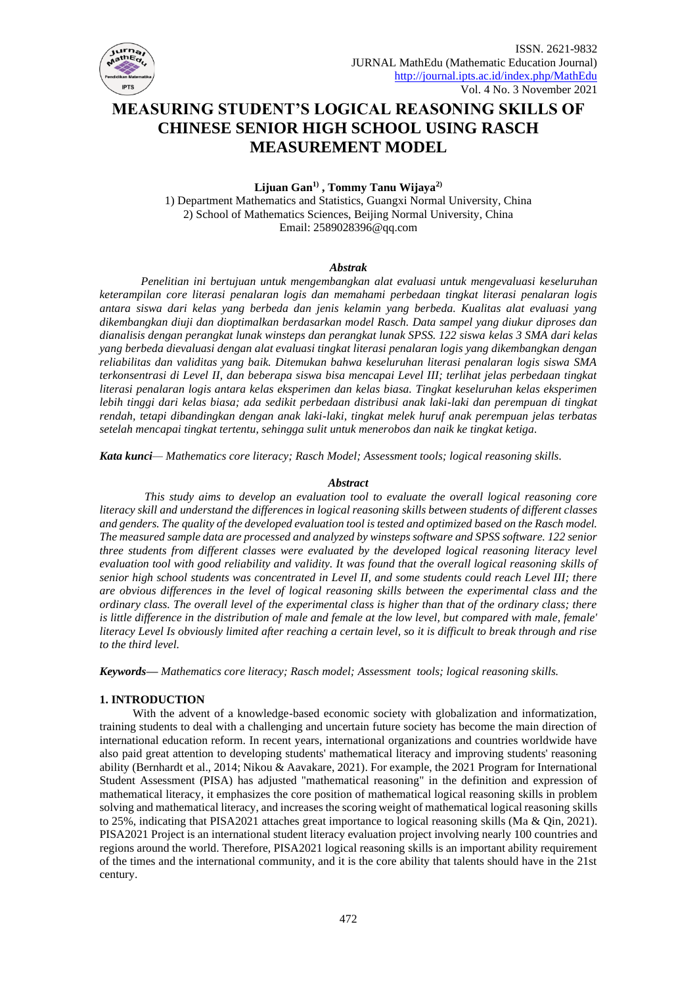

# **MEASURING STUDENT'S LOGICAL REASONING SKILLS OF CHINESE SENIOR HIGH SCHOOL USING RASCH MEASUREMENT MODEL**

**Lijuan Gan1) , Tommy Tanu Wijaya2)**

1) Department Mathematics and Statistics, Guangxi Normal University, China 2) School of Mathematics Sciences, Beijing Normal University, China Email: 2589028396@qq.com

#### *Abstrak*

*Penelitian ini bertujuan untuk mengembangkan alat evaluasi untuk mengevaluasi keseluruhan keterampilan core literasi penalaran logis dan memahami perbedaan tingkat literasi penalaran logis antara siswa dari kelas yang berbeda dan jenis kelamin yang berbeda. Kualitas alat evaluasi yang dikembangkan diuji dan dioptimalkan berdasarkan model Rasch. Data sampel yang diukur diproses dan dianalisis dengan perangkat lunak winsteps dan perangkat lunak SPSS. 122 siswa kelas 3 SMA dari kelas yang berbeda dievaluasi dengan alat evaluasi tingkat literasi penalaran logis yang dikembangkan dengan reliabilitas dan validitas yang baik. Ditemukan bahwa keseluruhan literasi penalaran logis siswa SMA terkonsentrasi di Level II, dan beberapa siswa bisa mencapai Level III; terlihat jelas perbedaan tingkat literasi penalaran logis antara kelas eksperimen dan kelas biasa. Tingkat keseluruhan kelas eksperimen lebih tinggi dari kelas biasa; ada sedikit perbedaan distribusi anak laki-laki dan perempuan di tingkat rendah, tetapi dibandingkan dengan anak laki-laki, tingkat melek huruf anak perempuan jelas terbatas setelah mencapai tingkat tertentu, sehingga sulit untuk menerobos dan naik ke tingkat ketiga.* 

*Kata kunci— Mathematics core literacy; Rasch Model; Assessment tools; logical reasoning skills.*

# *Abstract*

*This study aims to develop an evaluation tool to evaluate the overall logical reasoning core literacy skill and understand the differences in logical reasoning skills between students of different classes and genders. The quality of the developed evaluation tool is tested and optimized based on the Rasch model. The measured sample data are processed and analyzed by winsteps software and SPSS software. 122 senior three students from different classes were evaluated by the developed logical reasoning literacy level evaluation tool with good reliability and validity. It was found that the overall logical reasoning skills of senior high school students was concentrated in Level II, and some students could reach Level III; there are obvious differences in the level of logical reasoning skills between the experimental class and the ordinary class. The overall level of the experimental class is higher than that of the ordinary class; there is little difference in the distribution of male and female at the low level, but compared with male, female' literacy Level Is obviously limited after reaching a certain level, so it is difficult to break through and rise to the third level.* 

*Keywords— Mathematics core literacy; Rasch model; Assessment tools; logical reasoning skills.*

# **1. INTRODUCTION**

With the advent of a knowledge-based economic society with globalization and informatization, training students to deal with a challenging and uncertain future society has become the main direction of international education reform. In recent years, international organizations and countries worldwide have also paid great attention to developing students' mathematical literacy and improving students' reasoning ability (Bernhardt et al., 2014; Nikou & Aavakare, 2021). For example, the 2021 Program for International Student Assessment (PISA) has adjusted "mathematical reasoning" in the definition and expression of mathematical literacy, it emphasizes the core position of mathematical logical reasoning skills in problem solving and mathematical literacy, and increases the scoring weight of mathematical logical reasoning skills to 25%, indicating that PISA2021 attaches great importance to logical reasoning skills (Ma & Qin, 2021). PISA2021 Project is an international student literacy evaluation project involving nearly 100 countries and regions around the world. Therefore, PISA2021 logical reasoning skills is an important ability requirement of the times and the international community, and it is the core ability that talents should have in the 21st century.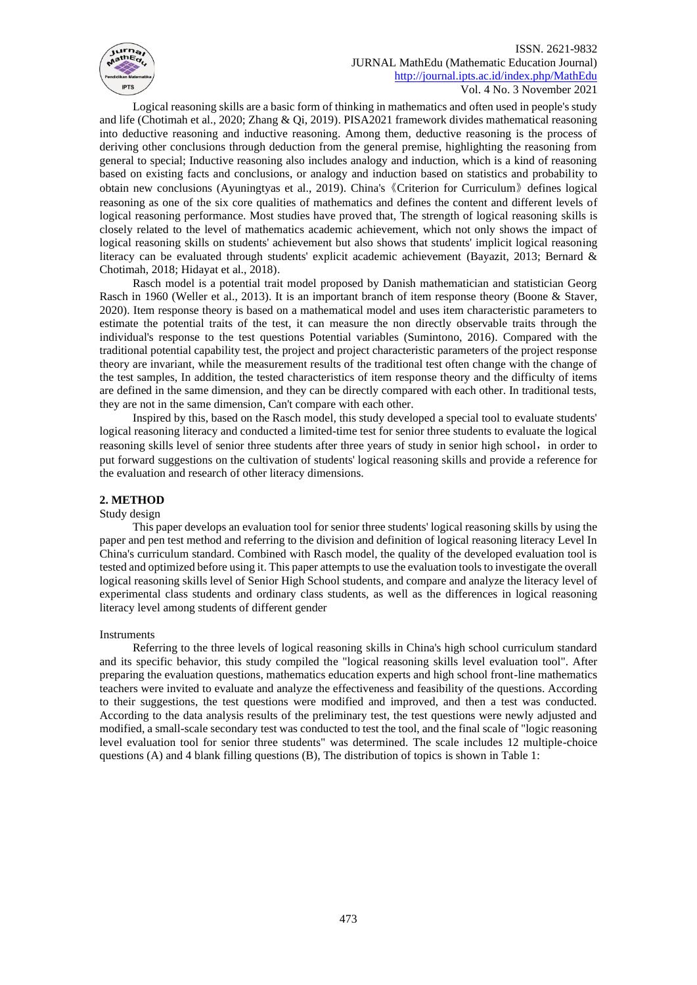

Logical reasoning skills are a basic form of thinking in mathematics and often used in people's study and life (Chotimah et al., 2020; Zhang & Qi, 2019). PISA2021 framework divides mathematical reasoning into deductive reasoning and inductive reasoning. Among them, deductive reasoning is the process of deriving other conclusions through deduction from the general premise, highlighting the reasoning from general to special; Inductive reasoning also includes analogy and induction, which is a kind of reasoning based on existing facts and conclusions, or analogy and induction based on statistics and probability to obtain new conclusions (Ayuningtyas et al., 2019). China's《Criterion for Curriculum》defines logical reasoning as one of the six core qualities of mathematics and defines the content and different levels of logical reasoning performance. Most studies have proved that, The strength of logical reasoning skills is closely related to the level of mathematics academic achievement, which not only shows the impact of logical reasoning skills on students' achievement but also shows that students' implicit logical reasoning literacy can be evaluated through students' explicit academic achievement (Bayazit, 2013; Bernard & Chotimah, 2018; Hidayat et al., 2018).

Rasch model is a potential trait model proposed by Danish mathematician and statistician Georg Rasch in 1960 (Weller et al., 2013). It is an important branch of item response theory (Boone & Staver, 2020). Item response theory is based on a mathematical model and uses item characteristic parameters to estimate the potential traits of the test, it can measure the non directly observable traits through the individual's response to the test questions Potential variables (Sumintono, 2016). Compared with the traditional potential capability test, the project and project characteristic parameters of the project response theory are invariant, while the measurement results of the traditional test often change with the change of the test samples, In addition, the tested characteristics of item response theory and the difficulty of items are defined in the same dimension, and they can be directly compared with each other. In traditional tests, they are not in the same dimension, Can't compare with each other.

Inspired by this, based on the Rasch model, this study developed a special tool to evaluate students' logical reasoning literacy and conducted a limited-time test for senior three students to evaluate the logical reasoning skills level of senior three students after three years of study in senior high school, in order to put forward suggestions on the cultivation of students' logical reasoning skills and provide a reference for the evaluation and research of other literacy dimensions.

# **2. METHOD**

#### Study design

This paper develops an evaluation tool for senior three students' logical reasoning skills by using the paper and pen test method and referring to the division and definition of logical reasoning literacy Level In China's curriculum standard. Combined with Rasch model, the quality of the developed evaluation tool is tested and optimized before using it. This paper attempts to use the evaluation tools to investigate the overall logical reasoning skills level of Senior High School students, and compare and analyze the literacy level of experimental class students and ordinary class students, as well as the differences in logical reasoning literacy level among students of different gender

#### Instruments

Referring to the three levels of logical reasoning skills in China's high school curriculum standard and its specific behavior, this study compiled the "logical reasoning skills level evaluation tool". After preparing the evaluation questions, mathematics education experts and high school front-line mathematics teachers were invited to evaluate and analyze the effectiveness and feasibility of the questions. According to their suggestions, the test questions were modified and improved, and then a test was conducted. According to the data analysis results of the preliminary test, the test questions were newly adjusted and modified, a small-scale secondary test was conducted to test the tool, and the final scale of "logic reasoning level evaluation tool for senior three students" was determined. The scale includes 12 multiple-choice questions (A) and 4 blank filling questions (B), The distribution of topics is shown in Table 1: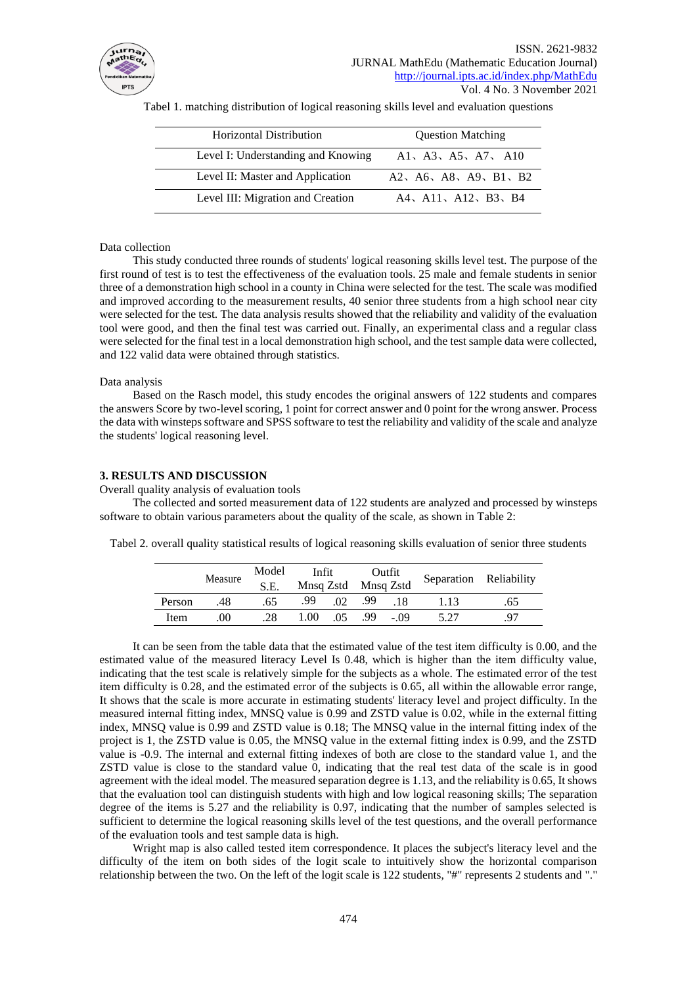

| Horizontal Distribution            | <b>Question Matching</b> |
|------------------------------------|--------------------------|
| Level I: Understanding and Knowing | A1, A3, A5, A7, A10      |
| Level II: Master and Application   | A2, A6, A8, A9, B1, B2   |
| Level III: Migration and Creation  | A4, A11, A12, B3, B4     |

Tabel 1. matching distribution of logical reasoning skills level and evaluation questions

#### Data collection

This study conducted three rounds of students' logical reasoning skills level test. The purpose of the first round of test is to test the effectiveness of the evaluation tools. 25 male and female students in senior three of a demonstration high school in a county in China were selected for the test. The scale was modified and improved according to the measurement results, 40 senior three students from a high school near city were selected for the test. The data analysis results showed that the reliability and validity of the evaluation tool were good, and then the final test was carried out. Finally, an experimental class and a regular class were selected for the final test in a local demonstration high school, and the test sample data were collected, and 122 valid data were obtained through statistics.

#### Data analysis

Based on the Rasch model, this study encodes the original answers of 122 students and compares the answers Score by two-level scoring, 1 point for correct answer and 0 point for the wrong answer. Process the data with winsteps software and SPSS software to test the reliability and validity of the scale and analyze the students' logical reasoning level.

#### **3. RESULTS AND DISCUSSION**

Overall quality analysis of evaluation tools

The collected and sorted measurement data of 122 students are analyzed and processed by winsteps software to obtain various parameters about the quality of the scale, as shown in Table 2:

|  |  |  |  |  | Tabel 2. overall quality statistical results of logical reasoning skills evaluation of senior three students |
|--|--|--|--|--|--------------------------------------------------------------------------------------------------------------|
|--|--|--|--|--|--------------------------------------------------------------------------------------------------------------|

|        | Measure | Model<br>S.E. | Infit |     | Outfit<br>Mnsq Zstd Mnsq Zstd |       | Separation Reliability |     |
|--------|---------|---------------|-------|-----|-------------------------------|-------|------------------------|-----|
| Person | .48     | .65           | .99   | .02 | .99                           | .18   | 1.13                   | .65 |
| Item   | 00      | .28           | 1.00  | .05 | .99                           | $-09$ | 5.27                   | 97  |

It can be seen from the table data that the estimated value of the test item difficulty is 0.00, and the estimated value of the measured literacy Level Is 0.48, which is higher than the item difficulty value, indicating that the test scale is relatively simple for the subjects as a whole. The estimated error of the test item difficulty is 0.28, and the estimated error of the subjects is 0.65, all within the allowable error range, It shows that the scale is more accurate in estimating students' literacy level and project difficulty. In the measured internal fitting index, MNSQ value is 0.99 and ZSTD value is 0.02, while in the external fitting index, MNSQ value is 0.99 and ZSTD value is 0.18; The MNSQ value in the internal fitting index of the project is 1, the ZSTD value is 0.05, the MNSQ value in the external fitting index is 0.99, and the ZSTD value is -0.9. The internal and external fitting indexes of both are close to the standard value 1, and the ZSTD value is close to the standard value 0, indicating that the real test data of the scale is in good agreement with the ideal model. The measured separation degree is 1.13, and the reliability is 0.65, It shows that the evaluation tool can distinguish students with high and low logical reasoning skills; The separation degree of the items is 5.27 and the reliability is 0.97, indicating that the number of samples selected is sufficient to determine the logical reasoning skills level of the test questions, and the overall performance of the evaluation tools and test sample data is high.

Wright map is also called tested item correspondence. It places the subject's literacy level and the difficulty of the item on both sides of the logit scale to intuitively show the horizontal comparison relationship between the two. On the left of the logit scale is 122 students, "#" represents 2 students and "."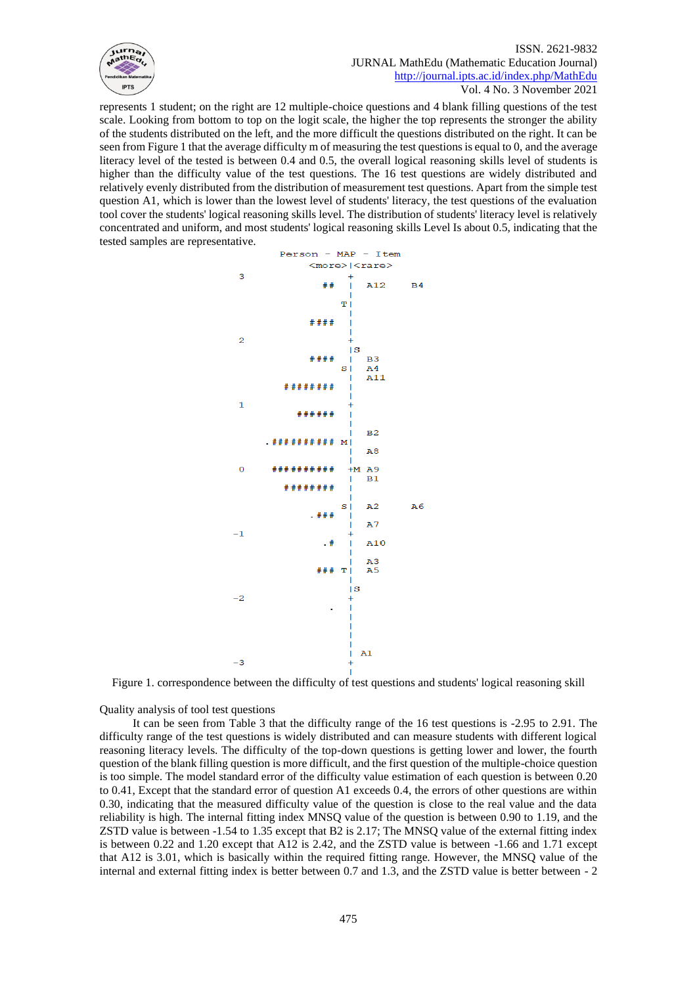

represents 1 student; on the right are 12 multiple-choice questions and 4 blank filling questions of the test scale. Looking from bottom to top on the logit scale, the higher the top represents the stronger the ability of the students distributed on the left, and the more difficult the questions distributed on the right. It can be seen from Figure 1 that the average difficulty m of measuring the test questions is equal to 0, and the average literacy level of the tested is between 0.4 and 0.5, the overall logical reasoning skills level of students is higher than the difficulty value of the test questions. The 16 test questions are widely distributed and relatively evenly distributed from the distribution of measurement test questions. Apart from the simple test question A1, which is lower than the lowest level of students' literacy, the test questions of the evaluation tool cover the students' logical reasoning skills level. The distribution of students' literacy level is relatively concentrated and uniform, and most students' logical reasoning skills Level Is about 0.5, indicating that the tested samples are representative.



Figure 1. correspondence between the difficulty of test questions and students' logical reasoning skill

Quality analysis of tool test questions

It can be seen from Table 3 that the difficulty range of the 16 test questions is -2.95 to 2.91. The difficulty range of the test questions is widely distributed and can measure students with different logical reasoning literacy levels. The difficulty of the top-down questions is getting lower and lower, the fourth question of the blank filling question is more difficult, and the first question of the multiple-choice question is too simple. The model standard error of the difficulty value estimation of each question is between 0.20 to 0.41, Except that the standard error of question A1 exceeds 0.4, the errors of other questions are within 0.30, indicating that the measured difficulty value of the question is close to the real value and the data reliability is high. The internal fitting index MNSQ value of the question is between 0.90 to 1.19, and the ZSTD value is between -1.54 to 1.35 except that B2 is 2.17; The MNSQ value of the external fitting index is between 0.22 and 1.20 except that A12 is 2.42, and the ZSTD value is between -1.66 and 1.71 except that A12 is 3.01, which is basically within the required fitting range. However, the MNSQ value of the internal and external fitting index is better between 0.7 and 1.3, and the ZSTD value is better between - 2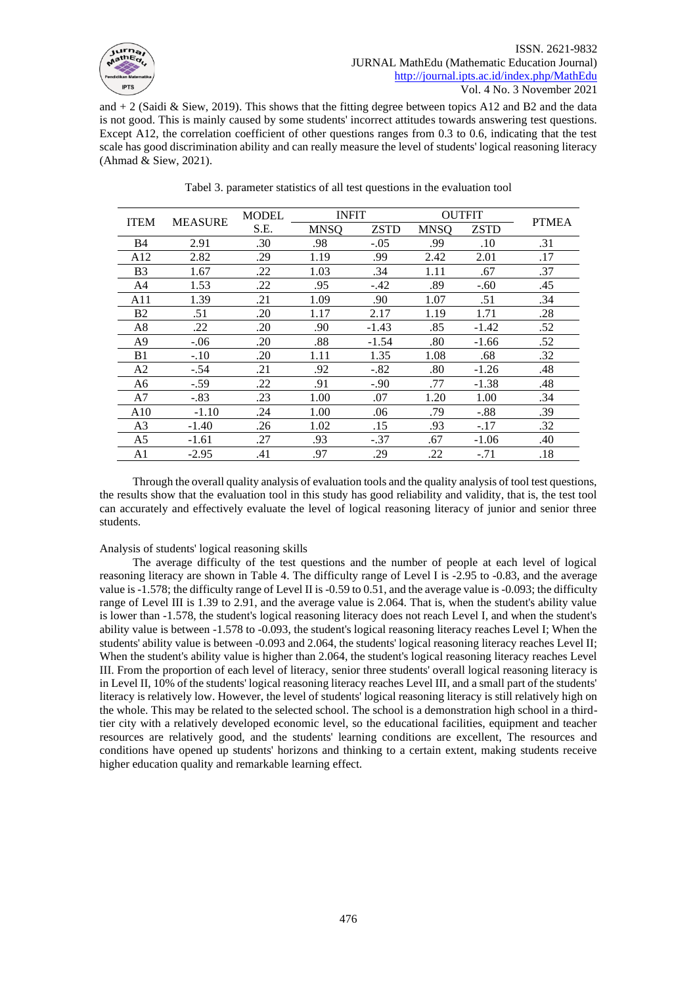

and  $+2$  (Saidi & Siew, 2019). This shows that the fitting degree between topics A12 and B2 and the data is not good. This is mainly caused by some students' incorrect attitudes towards answering test questions. Except A12, the correlation coefficient of other questions ranges from 0.3 to 0.6, indicating that the test scale has good discrimination ability and can really measure the level of students' logical reasoning literacy (Ahmad & Siew, 2021).

| <b>MEASURE</b><br><b>ITEM</b> |         | <b>MODEL</b> | <b>INFIT</b> |             | <b>OUTFIT</b> |             | <b>PTMEA</b> |
|-------------------------------|---------|--------------|--------------|-------------|---------------|-------------|--------------|
|                               |         | S.E.         | <b>MNSO</b>  | <b>ZSTD</b> | <b>MNSO</b>   | <b>ZSTD</b> |              |
| <b>B</b> 4                    | 2.91    | .30          | .98          | $-.05$      | .99           | .10         | .31          |
| A12                           | 2.82    | .29          | 1.19         | .99         | 2.42          | 2.01        | .17          |
| B <sub>3</sub>                | 1.67    | .22          | 1.03         | .34         | 1.11          | .67         | .37          |
| A4                            | 1.53    | .22          | .95          | -.42        | .89           | $-.60$      | .45          |
| A11                           | 1.39    | .21          | 1.09         | .90         | 1.07          | .51         | .34          |
| B <sub>2</sub>                | .51     | .20          | 1.17         | 2.17        | 1.19          | 1.71        | .28          |
| A8                            | .22     | .20          | .90          | $-1.43$     | .85           | $-1.42$     | .52          |
| A9                            | $-.06$  | .20          | .88          | $-1.54$     | .80           | $-1.66$     | .52          |
| B1                            | $-.10$  | .20          | 1.11         | 1.35        | 1.08          | .68         | .32          |
| A2                            | $-.54$  | .21          | .92          | $-.82$      | .80           | $-1.26$     | .48          |
| A6                            | $-.59$  | .22          | .91          | $-.90$      | .77           | $-1.38$     | .48          |
| A7                            | $-.83$  | .23          | 1.00         | .07         | 1.20          | 1.00        | .34          |
| A10                           | $-1.10$ | .24          | 1.00         | .06         | .79           | $-.88$      | .39          |
| A <sub>3</sub>                | $-1.40$ | .26          | 1.02         | .15         | .93           | $-.17$      | .32          |
| A5                            | $-1.61$ | .27          | .93          | $-.37$      | .67           | $-1.06$     | .40          |
| A1                            | $-2.95$ | .41          | .97          | .29         | .22           | $-.71$      | .18          |

Tabel 3. parameter statistics of all test questions in the evaluation tool

Through the overall quality analysis of evaluation tools and the quality analysis of tool test questions, the results show that the evaluation tool in this study has good reliability and validity, that is, the test tool can accurately and effectively evaluate the level of logical reasoning literacy of junior and senior three students.

#### Analysis of students' logical reasoning skills

The average difficulty of the test questions and the number of people at each level of logical reasoning literacy are shown in Table 4. The difficulty range of Level I is -2.95 to -0.83, and the average value is -1.578; the difficulty range of Level II is -0.59 to 0.51, and the average value is -0.093; the difficulty range of Level III is 1.39 to 2.91, and the average value is 2.064. That is, when the student's ability value is lower than -1.578, the student's logical reasoning literacy does not reach Level I, and when the student's ability value is between -1.578 to -0.093, the student's logical reasoning literacy reaches Level I; When the students' ability value is between -0.093 and 2.064, the students' logical reasoning literacy reaches Level II; When the student's ability value is higher than 2.064, the student's logical reasoning literacy reaches Level III. From the proportion of each level of literacy, senior three students' overall logical reasoning literacy is in Level II, 10% of the students' logical reasoning literacy reaches Level III, and a small part of the students' literacy is relatively low. However, the level of students' logical reasoning literacy is still relatively high on the whole. This may be related to the selected school. The school is a demonstration high school in a thirdtier city with a relatively developed economic level, so the educational facilities, equipment and teacher resources are relatively good, and the students' learning conditions are excellent, The resources and conditions have opened up students' horizons and thinking to a certain extent, making students receive higher education quality and remarkable learning effect.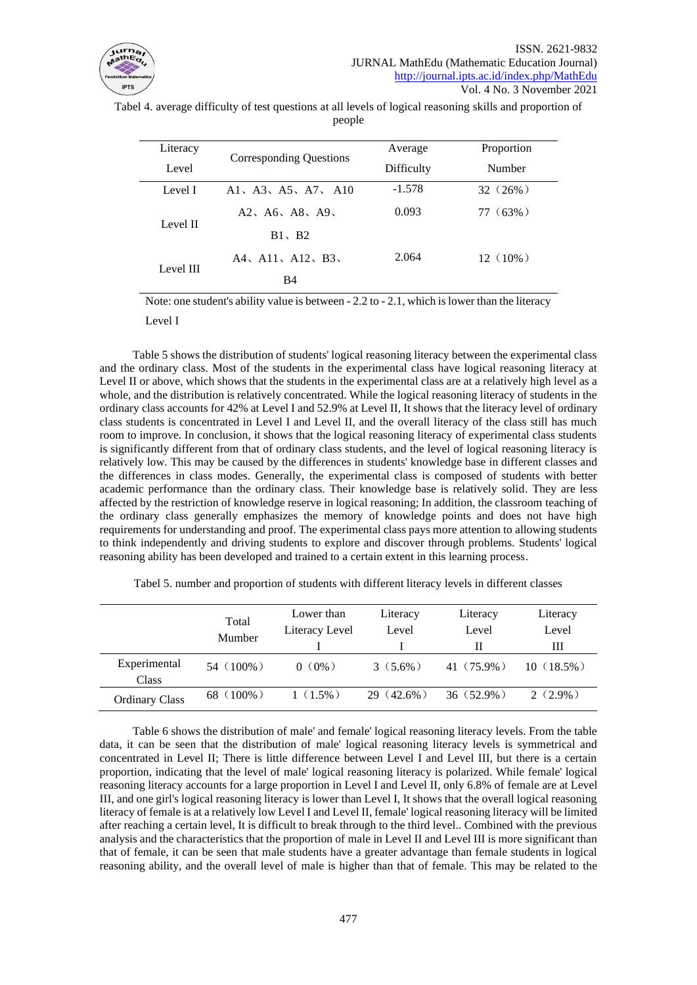![](_page_5_Picture_0.jpeg)

Tabel 4. average difficulty of test questions at all levels of logical reasoning skills and proportion of people

| Literacy<br>Level | Corresponding Questions                                                             | Average<br>Difficulty | Proportion<br><b>Number</b> |
|-------------------|-------------------------------------------------------------------------------------|-----------------------|-----------------------------|
| Level I           | A <sub>1</sub> , A <sub>3</sub> , A <sub>5</sub> , A <sub>7</sub> , A <sub>10</sub> | $-1.578$              | $32(26\%)$                  |
| Level II          | A2, A6, A8, A9                                                                      | 0.093                 | $77(63\%)$                  |
|                   | $B1 \cdot B2$                                                                       |                       |                             |
| Level III         | A4, A11, A12, B3,                                                                   | 2.064                 | $12(10\%)$                  |
|                   | B4                                                                                  |                       |                             |

Note: one student's ability value is between - 2.2 to - 2.1, which is lower than the literacy

Level I

Table 5 shows the distribution of students' logical reasoning literacy between the experimental class and the ordinary class. Most of the students in the experimental class have logical reasoning literacy at Level II or above, which shows that the students in the experimental class are at a relatively high level as a whole, and the distribution is relatively concentrated. While the logical reasoning literacy of students in the ordinary class accounts for 42% at Level I and 52.9% at Level II, It shows that the literacy level of ordinary class students is concentrated in Level I and Level II, and the overall literacy of the class still has much room to improve. In conclusion, it shows that the logical reasoning literacy of experimental class students is significantly different from that of ordinary class students, and the level of logical reasoning literacy is relatively low. This may be caused by the differences in students' knowledge base in different classes and the differences in class modes. Generally, the experimental class is composed of students with better academic performance than the ordinary class. Their knowledge base is relatively solid. They are less affected by the restriction of knowledge reserve in logical reasoning; In addition, the classroom teaching of the ordinary class generally emphasizes the memory of knowledge points and does not have high requirements for understanding and proof. The experimental class pays more attention to allowing students to think independently and driving students to explore and discover through problems. Students' logical reasoning ability has been developed and trained to a certain extent in this learning process.

|                       | Total<br>Mumber | Lower than<br>Literacy Level | Literacy<br>Level | Literacy<br>Level | Literacy<br>Level<br>Ш |
|-----------------------|-----------------|------------------------------|-------------------|-------------------|------------------------|
| Experimental<br>Class | $54(100\%)$     | $0(0\%)$                     | $3(5.6\%)$        | $41(75.9\%)$      | $10(18.5\%)$           |
| <b>Ordinary Class</b> | 68 $(100\%)$    | $1(1.5\%)$                   | $29(42.6\%)$      | $36(52.9\%)$      | $2(2.9\%)$             |

Tabel 5. number and proportion of students with different literacy levels in different classes

Table 6 shows the distribution of male' and female' logical reasoning literacy levels. From the table data, it can be seen that the distribution of male' logical reasoning literacy levels is symmetrical and concentrated in Level II; There is little difference between Level I and Level III, but there is a certain proportion, indicating that the level of male' logical reasoning literacy is polarized. While female' logical reasoning literacy accounts for a large proportion in Level I and Level II, only 6.8% of female are at Level III, and one girl's logical reasoning literacy is lower than Level I, It shows that the overall logical reasoning literacy of female is at a relatively low Level I and Level II, female' logical reasoning literacy will be limited after reaching a certain level, It is difficult to break through to the third level.. Combined with the previous analysis and the characteristics that the proportion of male in Level II and Level III is more significant than that of female, it can be seen that male students have a greater advantage than female students in logical reasoning ability, and the overall level of male is higher than that of female. This may be related to the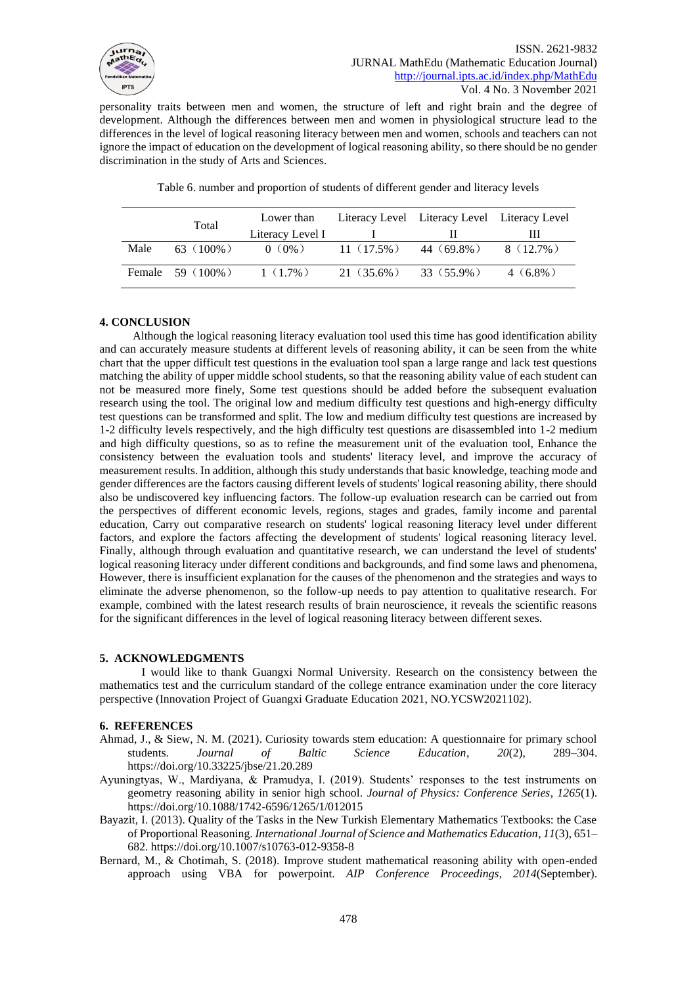![](_page_6_Picture_0.jpeg)

personality traits between men and women, the structure of left and right brain and the degree of development. Although the differences between men and women in physiological structure lead to the differences in the level of logical reasoning literacy between men and women, schools and teachers can not ignore the impact of education on the development of logical reasoning ability, so there should be no gender discrimination in the study of Arts and Sciences.

|      | Total               | Lower than<br>Literacy Level I |              | Literacy Level Literacy Level Literacy Level | Ш           |
|------|---------------------|--------------------------------|--------------|----------------------------------------------|-------------|
| Male | 63 $(100\%)$        | $0(0\%)$                       | $11(17.5\%)$ | 44 (69.8%)                                   | $8(12.7\%)$ |
|      | Female $59 (100\%)$ | $1(1.7\%)$                     | 21 (35.6%)   | 33 (55.9%)                                   | $4(6.8\%)$  |

Table 6. number and proportion of students of different gender and literacy levels

# **4. CONCLUSION**

Although the logical reasoning literacy evaluation tool used this time has good identification ability and can accurately measure students at different levels of reasoning ability, it can be seen from the white chart that the upper difficult test questions in the evaluation tool span a large range and lack test questions matching the ability of upper middle school students, so that the reasoning ability value of each student can not be measured more finely, Some test questions should be added before the subsequent evaluation research using the tool. The original low and medium difficulty test questions and high-energy difficulty test questions can be transformed and split. The low and medium difficulty test questions are increased by 1-2 difficulty levels respectively, and the high difficulty test questions are disassembled into 1-2 medium and high difficulty questions, so as to refine the measurement unit of the evaluation tool, Enhance the consistency between the evaluation tools and students' literacy level, and improve the accuracy of measurement results. In addition, although this study understands that basic knowledge, teaching mode and gender differences are the factors causing different levels of students' logical reasoning ability, there should also be undiscovered key influencing factors. The follow-up evaluation research can be carried out from the perspectives of different economic levels, regions, stages and grades, family income and parental education, Carry out comparative research on students' logical reasoning literacy level under different factors, and explore the factors affecting the development of students' logical reasoning literacy level. Finally, although through evaluation and quantitative research, we can understand the level of students' logical reasoning literacy under different conditions and backgrounds, and find some laws and phenomena, However, there is insufficient explanation for the causes of the phenomenon and the strategies and ways to eliminate the adverse phenomenon, so the follow-up needs to pay attention to qualitative research. For example, combined with the latest research results of brain neuroscience, it reveals the scientific reasons for the significant differences in the level of logical reasoning literacy between different sexes.

# **5. ACKNOWLEDGMENTS**

I would like to thank Guangxi Normal University. Research on the consistency between the mathematics test and the curriculum standard of the college entrance examination under the core literacy perspective (Innovation Project of Guangxi Graduate Education 2021, NO.YCSW2021102).

# **6. REFERENCES**

- Ahmad, J., & Siew, N. M. (2021). Curiosity towards stem education: A questionnaire for primary school students. *Journal of Baltic Science Education*, *20*(2), 289–304. https://doi.org/10.33225/jbse/21.20.289
- Ayuningtyas, W., Mardiyana, & Pramudya, I. (2019). Students' responses to the test instruments on geometry reasoning ability in senior high school. *Journal of Physics: Conference Series*, *1265*(1). https://doi.org/10.1088/1742-6596/1265/1/012015
- Bayazit, I. (2013). Quality of the Tasks in the New Turkish Elementary Mathematics Textbooks: the Case of Proportional Reasoning. *International Journal of Science and Mathematics Education*, *11*(3), 651– 682. https://doi.org/10.1007/s10763-012-9358-8
- Bernard, M., & Chotimah, S. (2018). Improve student mathematical reasoning ability with open-ended approach using VBA for powerpoint. *AIP Conference Proceedings*, *2014*(September).